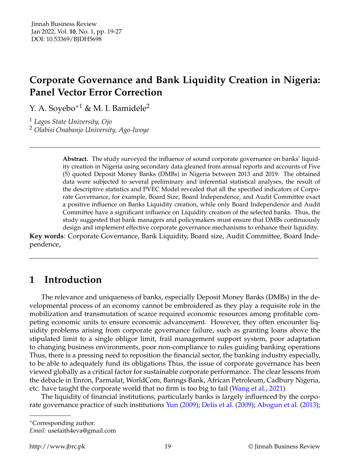# **Corporate Governance and Bank Liquidity Creation in Nigeria: Panel Vector Error Correction**

Y. A. Soyebo<sup>\*1</sup> & M. I. Bamidele<sup>2</sup>

<sup>1</sup> *Lagos State University, Ojo* <sup>2</sup> *Olabisi Onabanjo University, Ago-Iwoye*

> **Abstract.** The study surveyed the influence of sound corporate governance on banks' liquidity creation in Nigeria using secondary data gleaned from annual reports and accounts of Five (5) quoted Deposit Money Banks (DMBs) in Nigeria between 2013 and 2019. The obtained data were subjected to several preliminary and inferential statistical analyses, the result of the descriptive statistics and PVEC Model revealed that all the specified indicators of Corporate Governance, for example, Board Size, Board Independence, and Audit Committee exact a positive influence on Banks Liquidity creation, while only Board Independence and Audit Committee have a significant influence on Liquidity creation of the selected banks. Thus, the study suggested that bank managers and policymakers must ensure that DMBs continuously design and implement effective corporate governance mechanisms to enhance their liquidity.

**Key words**: Corporate Governance, Bank Liquidity, Board size, Audit Committee, Board Independence,

# **1 Introduction**

The relevance and uniqueness of banks, especially Deposit Money Banks (DMBs) in the developmental process of an economy cannot be embroidered as they play a requisite role in the mobilization and transmutation of scarce required economic resources among profitable competing economic units to ensure economic advancement. However, they often encounter liquidity problems arising from corporate governance failure, such as granting loans above the stipulated limit to a single obligor limit, frail management support system, poor adaptation to changing business environments, poor non-compliance to rules guiding banking operations Thus, there is a pressing need to reposition the financial sector, the banking industry especially, to be able to adequately fund its obligations Thus, the issue of corporate governance has been viewed globally as a critical factor for sustainable corporate performance. The clear lessons from the debacle in Enron, Parmalat, WorldCom, Barings Bank, African Petroleum, Cadbury Nigeria, etc. have taught the corporate world that no firm is too big to fail [\(Wang et al.,](#page-8-0) [2021\)](#page-8-0).

The liquidity of financial institutions, particularly banks is largely influenced by the corporate governance practice of such institutions [Yun](#page-8-1) [\(2009\)](#page-8-1); [Delis et al.](#page-8-2) [\(2009\)](#page-8-2); [Abogun et al.](#page-8-3) [\(2013\)](#page-8-3);

<sup>∗</sup>Corresponding author.

*Email:* usefaith4eva@gmail.com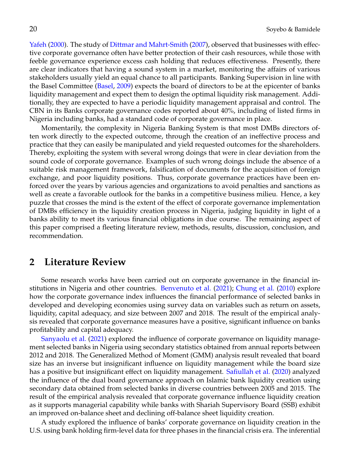[Yafeh](#page-8-4) [\(2000\)](#page-8-4). The study of [Dittmar and Mahrt-Smith](#page-8-5) [\(2007\)](#page-8-5), observed that businesses with effective corporate governance often have better protection of their cash resources, while those with feeble governance experience excess cash holding that reduces effectiveness. Presently, there are clear indicators that having a sound system in a market, monitoring the affairs of various stakeholders usually yield an equal chance to all participants. Banking Supervision in line with the Basel Committee [\(Basel,](#page-8-6) [2009\)](#page-8-6) expects the board of directors to be at the epicenter of banks liquidity management and expect them to design the optimal liquidity risk management. Additionally, they are expected to have a periodic liquidity management appraisal and control. The CBN in its Banks corporate governance codes reported about 40%, including of listed firms in Nigeria including banks, had a standard code of corporate governance in place.

Momentarily, the complexity in Nigeria Banking System is that most DMBs directors often work directly to the expected outcome, through the creation of an ineffective process and practice that they can easily be manipulated and yield requested outcomes for the shareholders. Thereby, exploiting the system with several wrong doings that were in clear deviation from the sound code of corporate governance. Examples of such wrong doings include the absence of a suitable risk management framework, falsification of documents for the acquisition of foreign exchange, and poor liquidity positions. Thus, corporate governance practices have been enforced over the years by various agencies and organizations to avoid penalties and sanctions as well as create a favorable outlook for the banks in a competitive business milieu. Hence, a key puzzle that crosses the mind is the extent of the effect of corporate governance implementation of DMBs efficiency in the liquidity creation process in Nigeria, judging liquidity in light of a banks ability to meet its various financial obligations in due course. The remaining aspect of this paper comprised a fleeting literature review, methods, results, discussion, conclusion, and recommendation.

#### **2 Literature Review**

Some research works have been carried out on corporate governance in the financial institutions in Nigeria and other countries. [Benvenuto et al.](#page-8-7) [\(2021\)](#page-8-7); [Chung et al.](#page-8-8) [\(2010\)](#page-8-8) explore how the corporate governance index influences the financial performance of selected banks in developed and developing economies using survey data on variables such as return on assets, liquidity, capital adequacy, and size between 2007 and 2018. The result of the empirical analysis revealed that corporate governance measures have a positive, significant influence on banks profitability and capital adequacy.

[Sanyaolu et al.](#page-8-9) [\(2021\)](#page-8-9) explored the influence of corporate governance on liquidity management selected banks in Nigeria using secondary statistics obtained from annual reports between 2012 and 2018. The Generalized Method of Moment (GMM) analysis result revealed that board size has an inverse but insignificant influence on liquidity management while the board size has a positive but insignificant effect on liquidity management. [Safiullah et al.](#page-8-10) [\(2020\)](#page-8-10) analyzed the influence of the dual board governance approach on Islamic bank liquidity creation using secondary data obtained from selected banks in diverse countries between 2005 and 2015. The result of the empirical analysis revealed that corporate governance influence liquidity creation as it supports managerial capability while banks with Shariah Supervisory Board (SSB) exhibit an improved on-balance sheet and declining off-balance sheet liquidity creation.

A study explored the influence of banks' corporate governance on liquidity creation in the U.S. using bank holding firm-level data for three phases in the financial crisis era. The inferential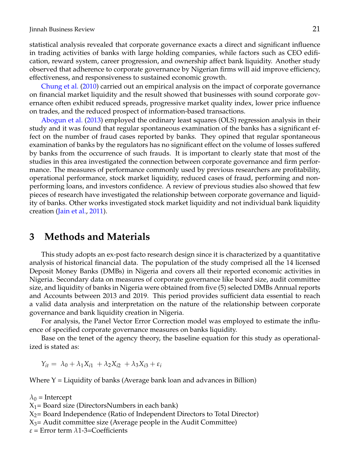statistical analysis revealed that corporate governance exacts a direct and significant influence in trading activities of banks with large holding companies, while factors such as CEO edification, reward system, career progression, and ownership affect bank liquidity. Another study observed that adherence to corporate governance by Nigerian firms will aid improve efficiency, effectiveness, and responsiveness to sustained economic growth.

[Chung et al.](#page-8-8) [\(2010\)](#page-8-8) carried out an empirical analysis on the impact of corporate governance on financial market liquidity and the result showed that businesses with sound corporate governance often exhibit reduced spreads, progressive market quality index, lower price influence on trades, and the reduced prospect of information-based transactions.

[Abogun et al.](#page-8-3) [\(2013\)](#page-8-3) employed the ordinary least squares (OLS) regression analysis in their study and it was found that regular spontaneous examination of the banks has a significant effect on the number of fraud cases reported by banks. They opined that regular spontaneous examination of banks by the regulators has no significant effect on the volume of losses suffered by banks from the occurrence of such frauds. It is important to clearly state that most of the studies in this area investigated the connection between corporate governance and firm performance. The measures of performance commonly used by previous researchers are profitability, operational performance, stock market liquidity, reduced cases of fraud, performing and nonperforming loans, and investors confidence. A review of previous studies also showed that few pieces of research have investigated the relationship between corporate governance and liquidity of banks. Other works investigated stock market liquidity and not individual bank liquidity creation [\(Jain et al.,](#page-8-11) [2011\)](#page-8-11).

### **3 Methods and Materials**

This study adopts an ex-post facto research design since it is characterized by a quantitative analysis of historical financial data. The population of the study comprised all the 14 licensed Deposit Money Banks (DMBs) in Nigeria and covers all their reported economic activities in Nigeria. Secondary data on measures of corporate governance like board size, audit committee size, and liquidity of banks in Nigeria were obtained from five (5) selected DMBs Annual reports and Accounts between 2013 and 2019. This period provides sufficient data essential to reach a valid data analysis and interpretation on the nature of the relationship between corporate governance and bank liquidity creation in Nigeria.

For analysis, the Panel Vector Error Correction model was employed to estimate the influence of specified corporate governance measures on banks liquidity.

Base on the tenet of the agency theory, the baseline equation for this study as operationalized is stated as:

 $Y_{it} = \lambda_0 + \lambda_1 X_{i1} + \lambda_2 X_{i2} + \lambda_3 X_{i3} + \varepsilon_i$ 

Where  $Y =$  Liquidity of banks (Average bank loan and advances in Billion)

 $\lambda_0$  = Intercept

 $X_1$ = Board size (DirectorsNumbers in each bank)

 $X_2$ = Board Independence (Ratio of Independent Directors to Total Director)

 $X_3$  – Audit committee size (Average people in the Audit Committee)

*ε* = Error term *λ*1-3=Coefficients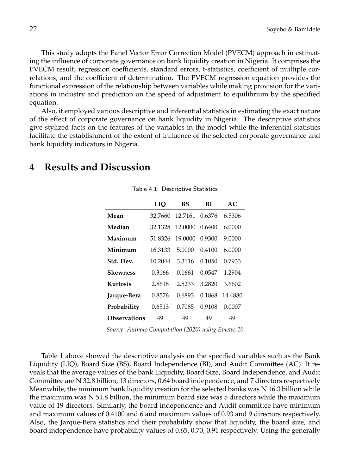This study adopts the Panel Vector Error Correction Model (PVECM) approach in estimating the influence of corporate governance on bank liquidity creation in Nigeria. It comprises the PVECM result, regression coefficients, standard errors, t-statistics, coefficient of multiple correlations, and the coefficient of determination. The PVECM regression equation provides the functional expression of the relationship between variables while making provision for the variations in industry and prediction on the speed of adjustment to equilibrium by the specified equation.

Also, it employed various descriptive and inferential statistics in estimating the exact nature of the effect of corporate governance on bank liquidity in Nigeria. The descriptive statistics give stylized facts on the features of the variables in the model while the inferential statistics facilitate the establishment of the extent of influence of the selected corporate governance and bank liquidity indicators in Nigeria.

## **4 Results and Discussion**

|                     | LIO     | BS             | ВI     | AC      |
|---------------------|---------|----------------|--------|---------|
| Mean                | 32.7660 | 12.7161 0.6376 |        | 6.5306  |
| Median              | 32.1328 | 12.0000        | 0.6400 | 6.0000  |
| Maximum             | 51.8326 | 19,0000        | 0.9300 | 9.0000  |
| Minimum             | 16.3133 | 5.0000         | 0.4100 | 6.0000  |
| Std. Dev.           | 10.2044 | 3.3116         | 0.1050 | 0.7933  |
| Skewness            | 0.3166  | 0.1661         | 0.0547 | 1.2904  |
| Kurtosis            | 2.8618  | 2.5233         | 3.2820 | 3.6602  |
| Jarque-Bera         | 0.8576  | 0.6893         | 0.1868 | 14.4880 |
| Probability         | 0.6513  | 0.7085         | 0.9108 | 0.0007  |
| <b>Observations</b> | 49      | 49             | 49     | 49      |

Table 4.1: Descriptive Statistics

*Source: Authors Computation (2020) using Eviews 10*

Table 1 above showed the descriptive analysis on the specified variables such as the Bank Liquidity (LIQ), Board Size (BS), Board Independence (BI), and Audit Committee (AC). It reveals that the average values of the bank Liquidity, Board Size, Board Independence, and Audit Committee are N 32.8 billion, 13 directors, 0.64 board independence, and 7 directors respectively Meanwhile, the minimum bank liquidity creation for the selected banks was N 16.3 billion while the maximum was N 51.8 billion, the minimum board size was 5 directors while the maximum value of 19 directors. Similarly, the board independence and Audit committee have minimum and maximum values of 0.4100 and 6 and maximum values of 0.93 and 9 directors respectively. Also, the Jarque-Bera statistics and their probability show that liquidity, the board size, and board independence have probability values of 0.65, 0.70, 0.91 respectively. Using the generally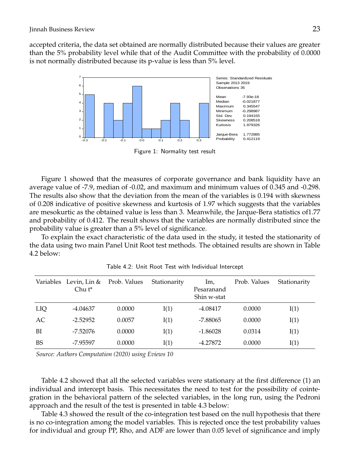accepted criteria, the data set obtained are normally distributed because their values are greater than the 5% probability level while that of the Audit Committee with the probability of 0.0000 is not normally distributed because its p-value is less than 5% level.



Figure 1: Normality test result

Figure 1 showed that the measures of corporate governance and bank liquidity have an average value of -7.9, median of -0.02, and maximum and minimum values of 0.345 and -0.298. The results also show that the deviation from the mean of the variables is 0.194 with skewness of 0.208 indicative of positive skewness and kurtosis of 1.97 which suggests that the variables are mesokurtic as the obtained value is less than 3. Meanwhile, the Jarque-Bera statistics of1.77 and probability of 0.412. The result shows that the variables are normally distributed since the probability value is greater than a 5% level of significance.

To explain the exact characteristic of the data used in the study, it tested the stationarity of the data using two main Panel Unit Root test methods. The obtained results are shown in Table 4.2 below:

|           | Variables Levin, Lin &<br>$Chu t^*$ | Prob. Values | Stationarity | Im,<br>Pesaranand<br>Shin w-stat | Prob. Values | Stationarity |
|-----------|-------------------------------------|--------------|--------------|----------------------------------|--------------|--------------|
| LIQ       | $-4.04637$                          | 0.0000       | I(1)         | $-4.08417$                       | 0.0000       | I(1)         |
| AC        | $-2.52952$                          | 0.0057       | I(1)         | -7.88065                         | 0.0000       | I(1)         |
| BI        | $-7.52076$                          | 0.0000       | I(1)         | $-1.86028$                       | 0.0314       | I(1)         |
| <b>BS</b> | -7.95597                            | 0.0000       | I(1)         | $-4.27872$                       | 0.0000       | I(1)         |

Table 4.2: Unit Root Test with Individual Intercept

*Source: Authors Computation (2020) using Eviews 10*

Table 4.2 showed that all the selected variables were stationary at the first difference (1) an individual and intercept basis. This necessitates the need to test for the possibility of cointegration in the behavioral pattern of the selected variables, in the long run, using the Pedroni approach and the result of the test is presented in table 4.3 below:

Table 4.3 showed the result of the co-integration test based on the null hypothesis that there is no co-integration among the model variables. This is rejected once the test probability values for individual and group PP, Rho, and ADF are lower than 0.05 level of significance and imply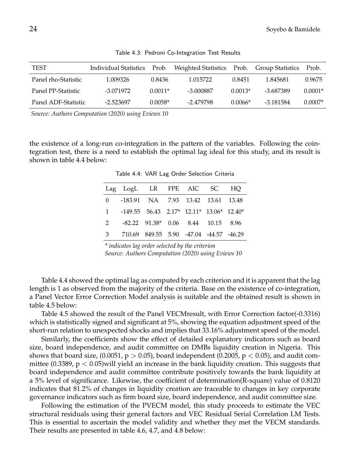| <b>TEST</b>         | Individual Statistics | Prob.     | Weighted Statistics |           | Prob. Group Statistics | Prob.     |
|---------------------|-----------------------|-----------|---------------------|-----------|------------------------|-----------|
| Panel rho-Statistic | 1.009326              | 0.8436    | 1.015722            | 0.8451    | 1.845681               | 0.9675    |
| Panel PP-Statistic  | -3.071972             | $0.0011*$ | -3.000887           | $0.0013*$ | -3.687389              | $0.0001*$ |
| Panel ADF-Statistic | -2.523697             | $0.0058*$ | -2.479798           | 0.0066*   | -3.181584              | $0.0007*$ |

Table 4.3: Pedroni Co-Integration Test Results

*Source: Authors Computation (2020) using Eviews 10*

the existence of a long-run co-integration in the pattern of the variables. Following the cointegration test, there is a need to establish the optimal lag ideal for this study, and its result is shown in table 4.4 below:

| Lag LogL LR FPE AIC SC HQ                  |  |  |  |
|--------------------------------------------|--|--|--|
| 0 -183.91 NA 7.93 13.42 13.61 13.48        |  |  |  |
| 1 -149.55 56.43 2.17* 12.11* 13.06* 12.40* |  |  |  |
| 2 -82.22 91.38* 0.06 8.44 10.15 8.96       |  |  |  |
| 3 710.69 849.55 5.90 -47.04 -44.57 -46.29  |  |  |  |

Table 4.4: VAR Lag Order Selection Criteria

*\* indicates lag order selected by the criterion Source: Authors Computation (2020) using Eviews 10*

Table 4.4 showed the optimal lag as computed by each criterion and it is apparent that the lag length is 1 as observed from the majority of the criteria. Base on the existence of co-integration, a Panel Vector Error Correction Model analysis is suitable and the obtained result is shown in table 4.5 below:

Table 4.5 showed the result of the Panel VECMresult, with Error Correction factor(-0.3316) which is statistically signed and significant at 5%, showing the equation adjustment speed of the short-run relation to unexpected shocks and implies that 33.16% adjustment speed of the model.

Similarly, the coefficients show the effect of detailed explanatory indicators such as board size, board independence, and audit committee on DMBs liquidity creation in Nigeria. This shows that board size,  $(0.0051, p > 0.05)$ , board independent  $(0.2005, p < 0.05)$ , and audit committee (0.3389,  $p < 0.05$ ) will yield an increase in the bank liquidity creation. This suggests that board independence and audit committee contribute positively towards the bank liquidity at a 5% level of significance. Likewise, the coefficient of determination(R-square) value of 0.8120 indicates that 81.2% of changes in liquidity creation are traceable to changes in key corporate governance indicators such as firm board size, board independence, and audit committee size.

Following the estimation of the PVECM model, this study proceeds to estimate the VEC structural residuals using their general factors and VEC Residual Serial Correlation LM Tests. This is essential to ascertain the model validity and whether they met the VECM standards. Their results are presented in table 4.6, 4.7, and 4.8 below: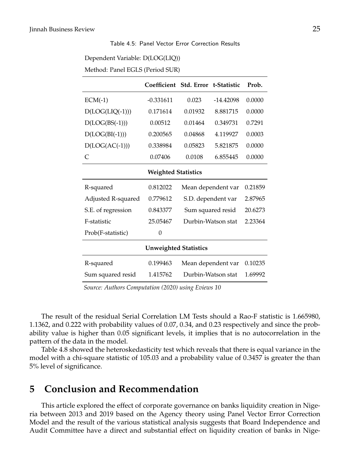#### Table 4.5: Panel Vector Error Correction Results

| Dependent Variable: D(LOG(LIQ)) |
|---------------------------------|
| Method: Panel EGLS (Period SUR) |

|                            | Coefficient Std. Error t-Statistic |                               |          | Prob.   |  |  |  |
|----------------------------|------------------------------------|-------------------------------|----------|---------|--|--|--|
| $ECM(-1)$                  | $-0.331611$                        | $-14.42098$<br>0.023          |          | 0.0000  |  |  |  |
| $D(LOG(LIQ(-1)))$          | 0.171614                           | 0.01932                       | 8.881715 | 0.0000  |  |  |  |
| $D(LOG(BS(-1)))$           | 0.00512                            | 0.01464                       | 0.349731 | 0.7291  |  |  |  |
| $D(LOG(BI(-1)))$           | 0.200565                           | 0.04868                       | 4.119927 | 0.0003  |  |  |  |
| $D(LOG(AC(-1)))$           | 0.338984                           | 0.05823                       | 5.821875 | 0.0000  |  |  |  |
| C                          | 0.07406                            | 0.0108                        | 6.855445 | 0.0000  |  |  |  |
| <b>Weighted Statistics</b> |                                    |                               |          |         |  |  |  |
| R-squared                  | 0.812022                           | Mean dependent var            |          | 0.21859 |  |  |  |
| Adjusted R-squared         | 0.779612                           | S.D. dependent var            |          | 2.87965 |  |  |  |
| S.E. of regression         | 0.843377                           | Sum squared resid<br>20.6273  |          |         |  |  |  |
| F-statistic                | 25.05467                           | Durbin-Watson stat            |          | 2.23364 |  |  |  |
| Prob(F-statistic)          | 0                                  |                               |          |         |  |  |  |
|                            | <b>Unweighted Statistics</b>       |                               |          |         |  |  |  |
| R-squared                  | 0.199463                           | Mean dependent var            |          | 0.10235 |  |  |  |
| Sum squared resid          | 1.415762                           | Durbin-Watson stat<br>1.69992 |          |         |  |  |  |

*Source: Authors Computation (2020) using Eviews 10*

The result of the residual Serial Correlation LM Tests should a Rao-F statistic is 1.665980, 1.1362, and 0.222 with probability values of 0.07, 0.34, and 0.23 respectively and since the probability value is higher than 0.05 significant levels, it implies that is no autocorrelation in the pattern of the data in the model.

Table 4.8 showed the heteroskedasticity test which reveals that there is equal variance in the model with a chi-square statistic of 105.03 and a probability value of 0.3457 is greater the than 5% level of significance.

## **5 Conclusion and Recommendation**

This article explored the effect of corporate governance on banks liquidity creation in Nigeria between 2013 and 2019 based on the Agency theory using Panel Vector Error Correction Model and the result of the various statistical analysis suggests that Board Independence and Audit Committee have a direct and substantial effect on liquidity creation of banks in Nige-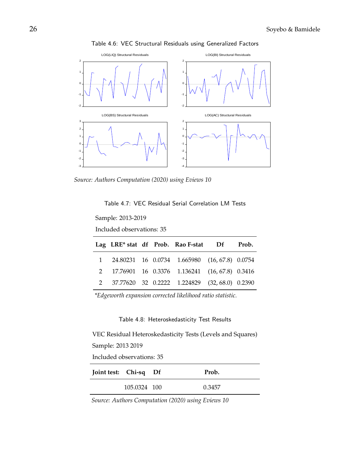



*Source: Authors Computation (2020) using Eviews 10*

Table 4.7: VEC Residual Serial Correlation LM Tests

Sample: 2013-2019

Included observations: 35

|  |  | Lag LRE* stat df Prob. Rao F-stat Df Prob.      |  |
|--|--|-------------------------------------------------|--|
|  |  | 1 24.80231 16 0.0734 1.665980 (16, 67.8) 0.0754 |  |
|  |  | 2 17.76901 16 0.3376 1.136241 (16, 67.8) 0.3416 |  |
|  |  | 2 37.77620 32 0.2222 1.224829 (32,68.0) 0.2390  |  |

*\*Edgeworth expansion corrected likelihood ratio statistic.*

#### Table 4.8: Heteroskedasticity Test Results

VEC Residual Heteroskedasticity Tests (Levels and Squares) Sample: 2013 2019

Included observations: 35

| Joint test: Chi-sq Df |              | Prob.  |
|-----------------------|--------------|--------|
|                       | 105.0324 100 | 0.3457 |

*Source: Authors Computation (2020) using Eviews 10*